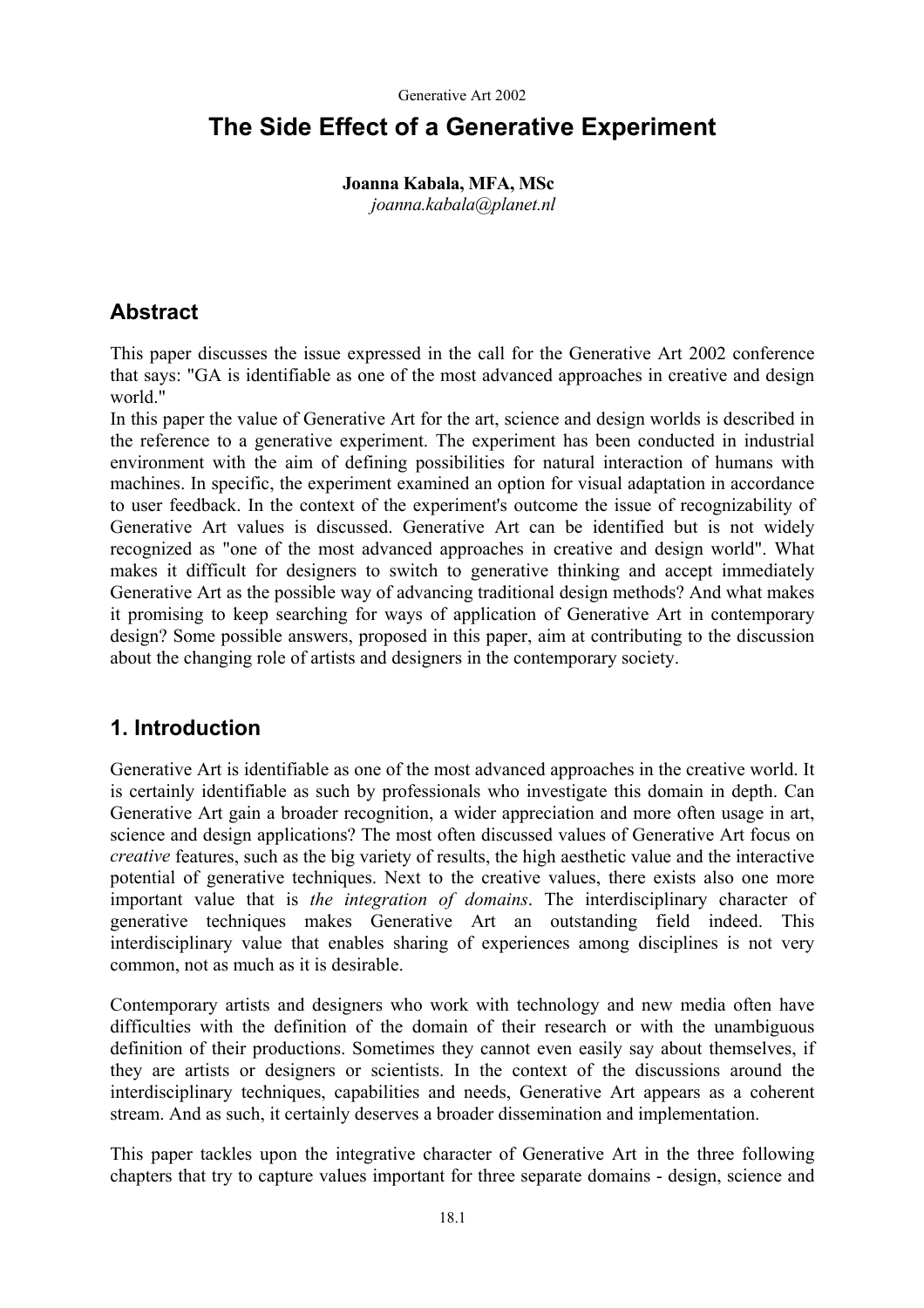# **The Side Effect of a Generative Experiment**

### **Joanna Kabala, MFA, MSc**  *joanna.kabala@planet.nl*

## **Abstract**

This paper discusses the issue expressed in the call for the Generative Art 2002 conference that says: "GA is identifiable as one of the most advanced approaches in creative and design world."

In this paper the value of Generative Art for the art, science and design worlds is described in the reference to a generative experiment. The experiment has been conducted in industrial environment with the aim of defining possibilities for natural interaction of humans with machines. In specific, the experiment examined an option for visual adaptation in accordance to user feedback. In the context of the experiment's outcome the issue of recognizability of Generative Art values is discussed. Generative Art can be identified but is not widely recognized as "one of the most advanced approaches in creative and design world". What makes it difficult for designers to switch to generative thinking and accept immediately Generative Art as the possible way of advancing traditional design methods? And what makes it promising to keep searching for ways of application of Generative Art in contemporary design? Some possible answers, proposed in this paper, aim at contributing to the discussion about the changing role of artists and designers in the contemporary society.

## **1. Introduction**

Generative Art is identifiable as one of the most advanced approaches in the creative world. It is certainly identifiable as such by professionals who investigate this domain in depth. Can Generative Art gain a broader recognition, a wider appreciation and more often usage in art, science and design applications? The most often discussed values of Generative Art focus on *creative* features, such as the big variety of results, the high aesthetic value and the interactive potential of generative techniques. Next to the creative values, there exists also one more important value that is *the integration of domains*. The interdisciplinary character of generative techniques makes Generative Art an outstanding field indeed. This interdisciplinary value that enables sharing of experiences among disciplines is not very common, not as much as it is desirable.

Contemporary artists and designers who work with technology and new media often have difficulties with the definition of the domain of their research or with the unambiguous definition of their productions. Sometimes they cannot even easily say about themselves, if they are artists or designers or scientists. In the context of the discussions around the interdisciplinary techniques, capabilities and needs, Generative Art appears as a coherent stream. And as such, it certainly deserves a broader dissemination and implementation.

This paper tackles upon the integrative character of Generative Art in the three following chapters that try to capture values important for three separate domains - design, science and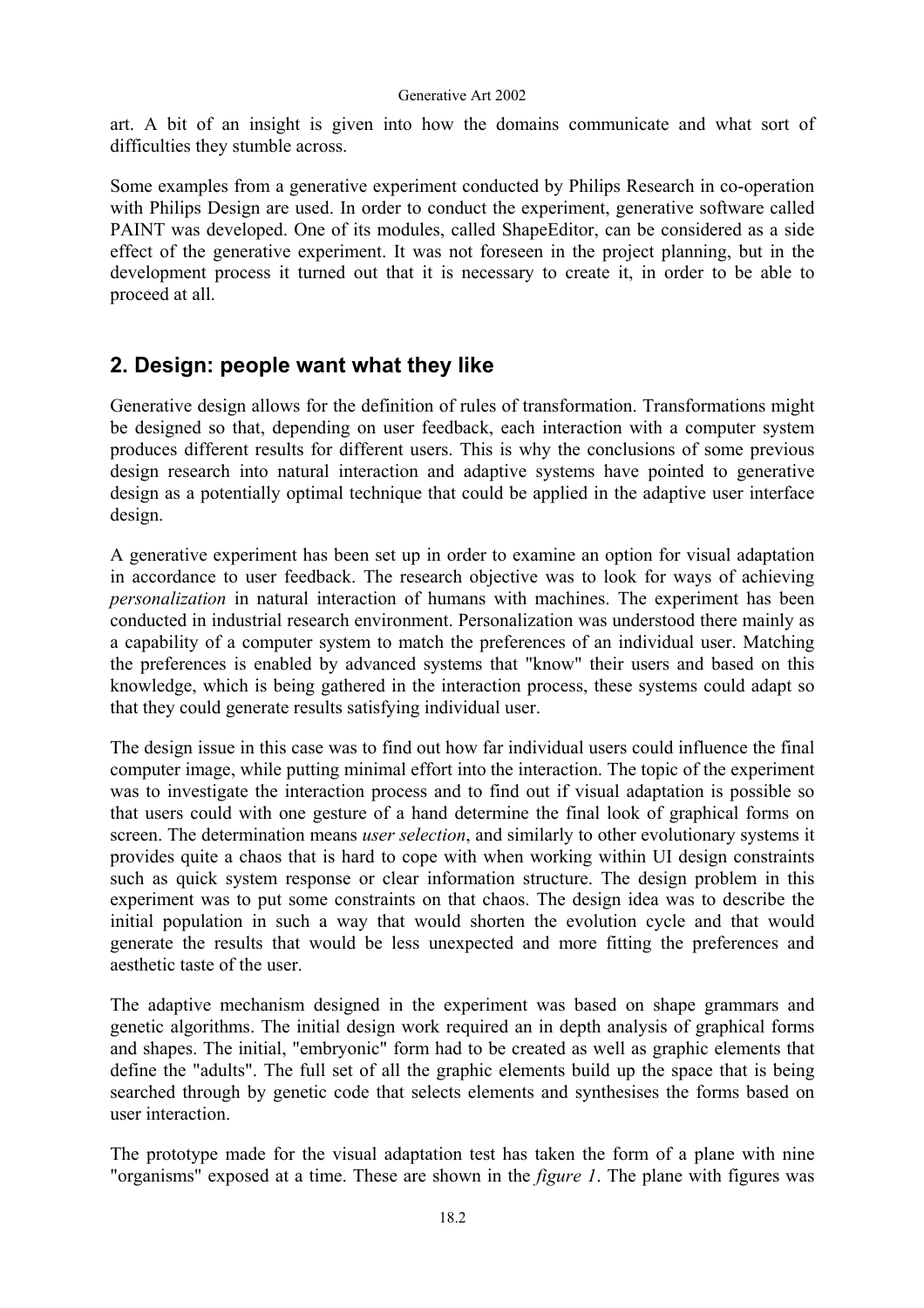art. A bit of an insight is given into how the domains communicate and what sort of difficulties they stumble across.

Some examples from a generative experiment conducted by Philips Research in co-operation with Philips Design are used. In order to conduct the experiment, generative software called PAINT was developed. One of its modules, called ShapeEditor, can be considered as a side effect of the generative experiment. It was not foreseen in the project planning, but in the development process it turned out that it is necessary to create it, in order to be able to proceed at all.

### **2. Design: people want what they like**

Generative design allows for the definition of rules of transformation. Transformations might be designed so that, depending on user feedback, each interaction with a computer system produces different results for different users. This is why the conclusions of some previous design research into natural interaction and adaptive systems have pointed to generative design as a potentially optimal technique that could be applied in the adaptive user interface design.

A generative experiment has been set up in order to examine an option for visual adaptation in accordance to user feedback. The research objective was to look for ways of achieving *personalization* in natural interaction of humans with machines. The experiment has been conducted in industrial research environment. Personalization was understood there mainly as a capability of a computer system to match the preferences of an individual user. Matching the preferences is enabled by advanced systems that "know" their users and based on this knowledge, which is being gathered in the interaction process, these systems could adapt so that they could generate results satisfying individual user.

The design issue in this case was to find out how far individual users could influence the final computer image, while putting minimal effort into the interaction. The topic of the experiment was to investigate the interaction process and to find out if visual adaptation is possible so that users could with one gesture of a hand determine the final look of graphical forms on screen. The determination means *user selection*, and similarly to other evolutionary systems it provides quite a chaos that is hard to cope with when working within UI design constraints such as quick system response or clear information structure. The design problem in this experiment was to put some constraints on that chaos. The design idea was to describe the initial population in such a way that would shorten the evolution cycle and that would generate the results that would be less unexpected and more fitting the preferences and aesthetic taste of the user.

The adaptive mechanism designed in the experiment was based on shape grammars and genetic algorithms. The initial design work required an in depth analysis of graphical forms and shapes. The initial, "embryonic" form had to be created as well as graphic elements that define the "adults". The full set of all the graphic elements build up the space that is being searched through by genetic code that selects elements and synthesises the forms based on user interaction.

The prototype made for the visual adaptation test has taken the form of a plane with nine "organisms" exposed at a time. These are shown in the *figure 1*. The plane with figures was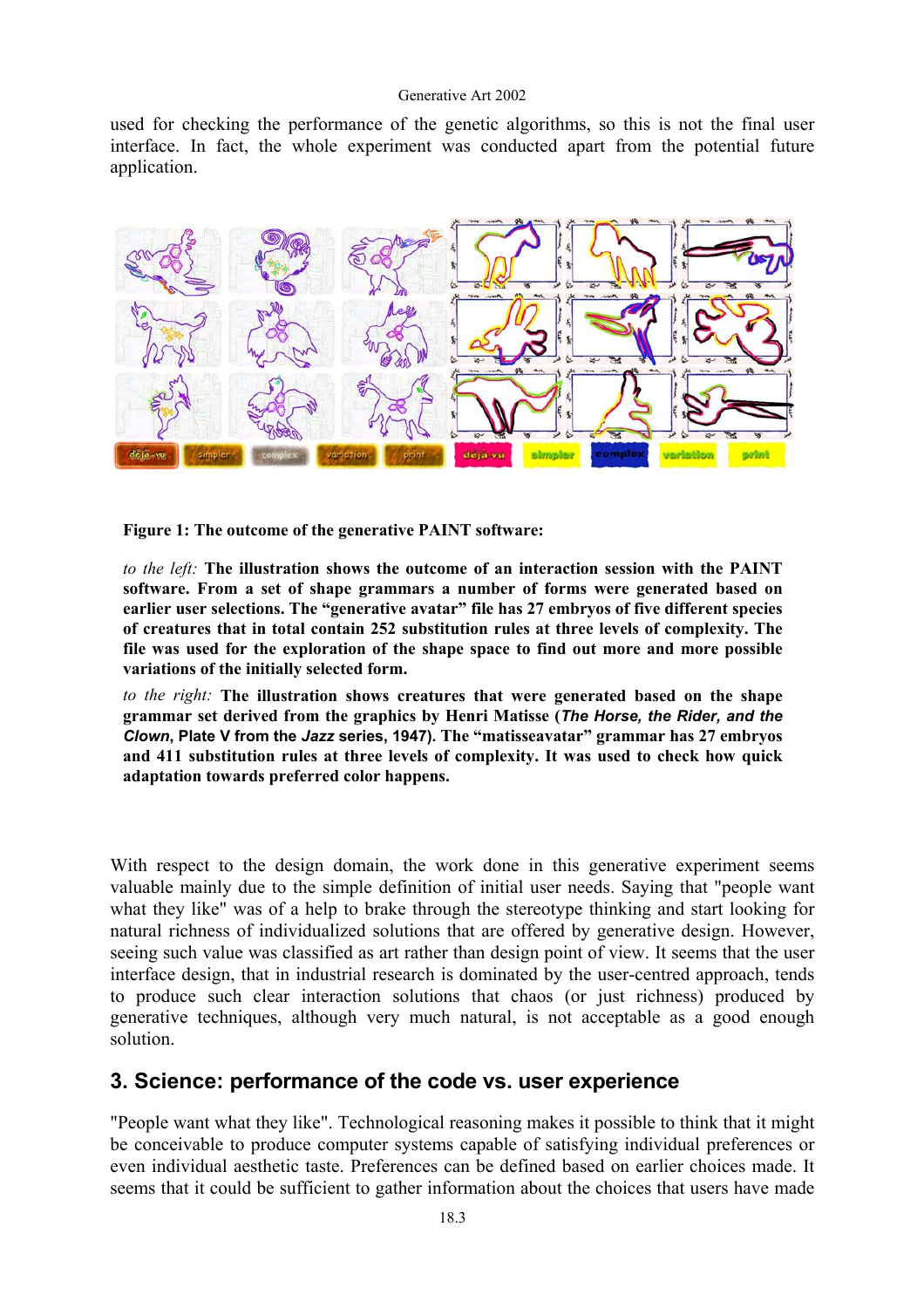used for checking the performance of the genetic algorithms, so this is not the final user interface. In fact, the whole experiment was conducted apart from the potential future application.



**Figure 1: The outcome of the generative PAINT software:** 

*to the left:* **The illustration shows the outcome of an interaction session with the PAINT software. From a set of shape grammars a number of forms were generated based on earlier user selections. The "generative avatar" file has 27 embryos of five different species of creatures that in total contain 252 substitution rules at three levels of complexity. The file was used for the exploration of the shape space to find out more and more possible variations of the initially selected form.** 

*to the right:* **The illustration shows creatures that were generated based on the shape grammar set derived from the graphics by Henri Matisse (***The Horse, the Rider, and the Clown***, Plate V from the** *Jazz* **series, 1947). The "matisseavatar" grammar has 27 embryos and 411 substitution rules at three levels of complexity. It was used to check how quick adaptation towards preferred color happens.** 

With respect to the design domain, the work done in this generative experiment seems valuable mainly due to the simple definition of initial user needs. Saying that "people want what they like" was of a help to brake through the stereotype thinking and start looking for natural richness of individualized solutions that are offered by generative design. However, seeing such value was classified as art rather than design point of view. It seems that the user interface design, that in industrial research is dominated by the user-centred approach, tends to produce such clear interaction solutions that chaos (or just richness) produced by generative techniques, although very much natural, is not acceptable as a good enough solution.

### **3. Science: performance of the code vs. user experience**

"People want what they like". Technological reasoning makes it possible to think that it might be conceivable to produce computer systems capable of satisfying individual preferences or even individual aesthetic taste. Preferences can be defined based on earlier choices made. It seems that it could be sufficient to gather information about the choices that users have made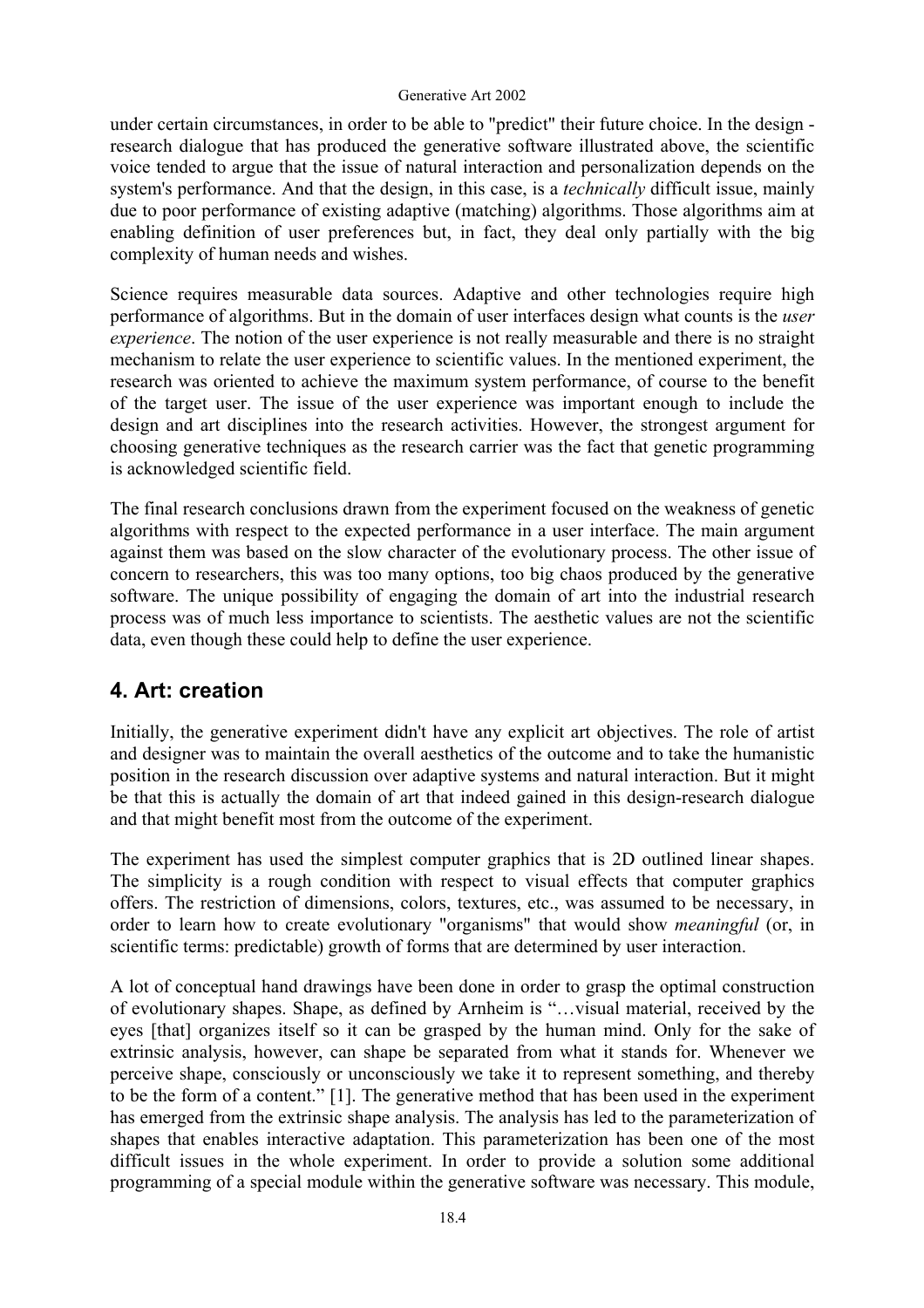under certain circumstances, in order to be able to "predict" their future choice. In the design research dialogue that has produced the generative software illustrated above, the scientific voice tended to argue that the issue of natural interaction and personalization depends on the system's performance. And that the design, in this case, is a *technically* difficult issue, mainly due to poor performance of existing adaptive (matching) algorithms. Those algorithms aim at enabling definition of user preferences but, in fact, they deal only partially with the big complexity of human needs and wishes.

Science requires measurable data sources. Adaptive and other technologies require high performance of algorithms. But in the domain of user interfaces design what counts is the *user experience*. The notion of the user experience is not really measurable and there is no straight mechanism to relate the user experience to scientific values. In the mentioned experiment, the research was oriented to achieve the maximum system performance, of course to the benefit of the target user. The issue of the user experience was important enough to include the design and art disciplines into the research activities. However, the strongest argument for choosing generative techniques as the research carrier was the fact that genetic programming is acknowledged scientific field.

The final research conclusions drawn from the experiment focused on the weakness of genetic algorithms with respect to the expected performance in a user interface. The main argument against them was based on the slow character of the evolutionary process. The other issue of concern to researchers, this was too many options, too big chaos produced by the generative software. The unique possibility of engaging the domain of art into the industrial research process was of much less importance to scientists. The aesthetic values are not the scientific data, even though these could help to define the user experience.

## **4. Art: creation**

Initially, the generative experiment didn't have any explicit art objectives. The role of artist and designer was to maintain the overall aesthetics of the outcome and to take the humanistic position in the research discussion over adaptive systems and natural interaction. But it might be that this is actually the domain of art that indeed gained in this design-research dialogue and that might benefit most from the outcome of the experiment.

The experiment has used the simplest computer graphics that is 2D outlined linear shapes. The simplicity is a rough condition with respect to visual effects that computer graphics offers. The restriction of dimensions, colors, textures, etc., was assumed to be necessary, in order to learn how to create evolutionary "organisms" that would show *meaningful* (or, in scientific terms: predictable) growth of forms that are determined by user interaction.

A lot of conceptual hand drawings have been done in order to grasp the optimal construction of evolutionary shapes. Shape, as defined by Arnheim is "…visual material, received by the eyes [that] organizes itself so it can be grasped by the human mind. Only for the sake of extrinsic analysis, however, can shape be separated from what it stands for. Whenever we perceive shape, consciously or unconsciously we take it to represent something, and thereby to be the form of a content." [1]. The generative method that has been used in the experiment has emerged from the extrinsic shape analysis. The analysis has led to the parameterization of shapes that enables interactive adaptation. This parameterization has been one of the most difficult issues in the whole experiment. In order to provide a solution some additional programming of a special module within the generative software was necessary. This module,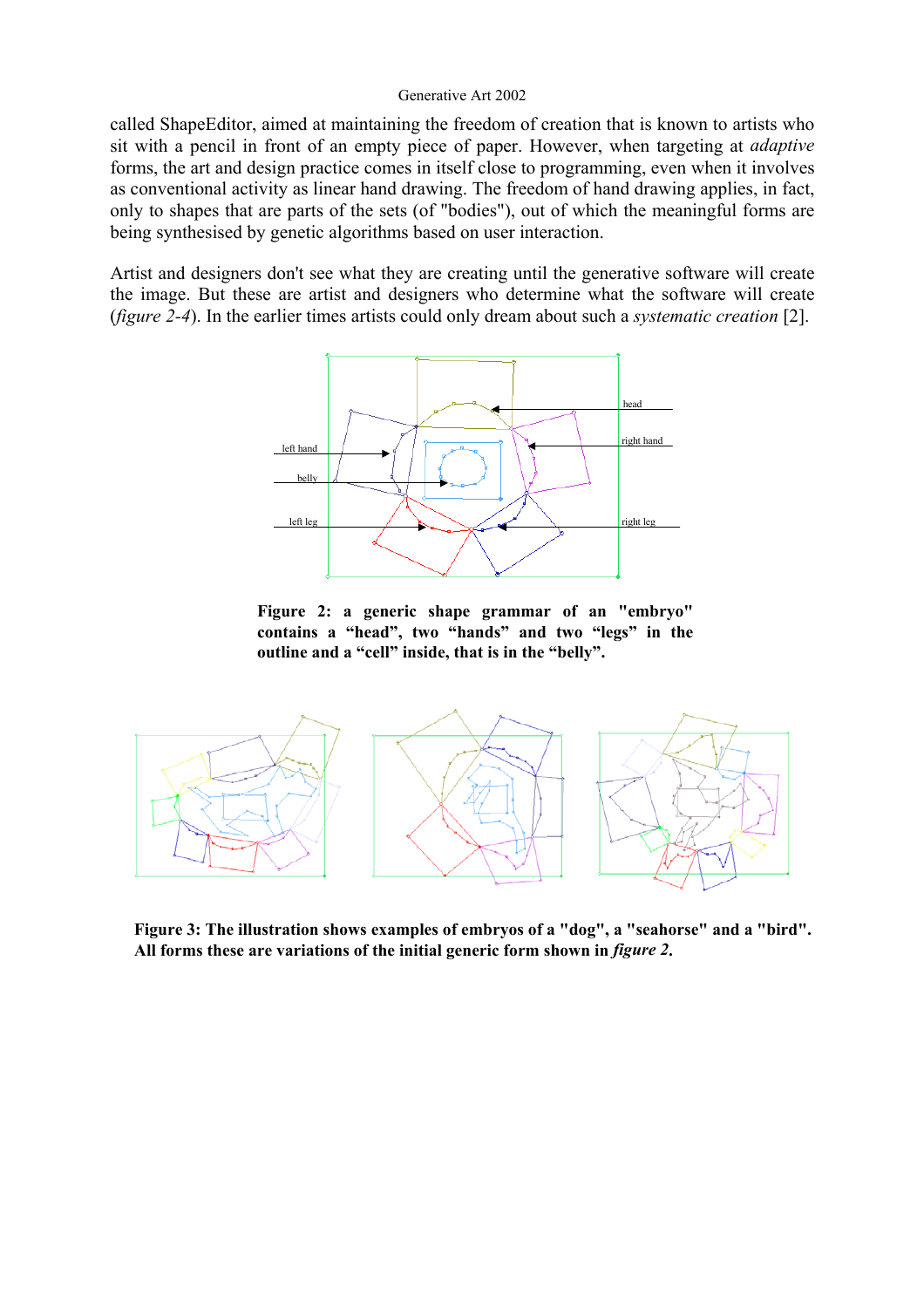called ShapeEditor, aimed at maintaining the freedom of creation that is known to artists who sit with a pencil in front of an empty piece of paper. However, when targeting at *adaptive* forms, the art and design practice comes in itself close to programming, even when it involves as conventional activity as linear hand drawing. The freedom of hand drawing applies, in fact, only to shapes that are parts of the sets (of "bodies"), out of which the meaningful forms are being synthesised by genetic algorithms based on user interaction.

Artist and designers don't see what they are creating until the generative software will create the image. But these are artist and designers who determine what the software will create (*figure 2-4*). In the earlier times artists could only dream about such a *systematic creation* [2].



**Figure 2: a generic shape grammar of an "embryo" contains a "head", two "hands" and two "legs" in the outline and a "cell" inside, that is in the "belly".** 



**Figure 3: The illustration shows examples of embryos of a "dog", a "seahorse" and a "bird". All forms these are variations of the initial generic form shown in** *figure 2***.**